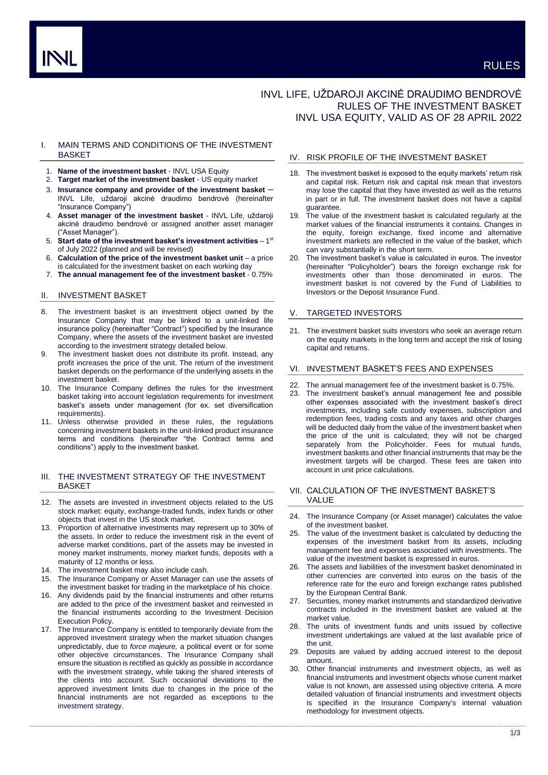# INVL LIFE, UŽDAROJI AKCINĖ DRAUDIMO BENDROVĖ RULES OF THE INVESTMENT BASKET INVL USA EQUITY, VALID AS OF 28 APRIL 2022

## I. MAIN TERMS AND CONDITIONS OF THE INVESTMENT **BASKET**

- 1. **Name of the investment basket** INVL USA Equity
- 2. **Target market of the investment basket** US equity market
- 3. **Insurance company and provider of the investment basket** INVL Life, uždaroji akcinė draudimo bendrovė (hereinafter "Insurance Company")
- 4. **Asset manager of the investment basket** INVL Life, uždaroji akcinė draudimo bendrovė or assigned another asset manager ("Asset Manager").
- 5. Start date of the investment basket's investment activities 1st of July 2022 (planned and will be revised)
- 6. **Calculation of the price of the investment basket unit**  a price is calculated for the investment basket on each working day
- 7. **The annual management fee of the investment basket** 0.75%

## II. INVESTMENT BASKET

- 8. The investment basket is an investment object owned by the Insurance Company that may be linked to a unit-linked life insurance policy (hereinafter "Contract") specified by the Insurance Company, where the assets of the investment basket are invested according to the investment strategy detailed below.
- The investment basket does not distribute its profit. Instead, any profit increases the price of the unit. The return of the investment basket depends on the performance of the underlying assets in the investment basket.
- 10. The Insurance Company defines the rules for the investment basket taking into account legislation requirements for investment basket's assets under management (for ex. set diversification requirements).
- 11. Unless otherwise provided in these rules, the regulations concerning investment baskets in the unit-linked product insurance terms and conditions (hereinafter "the Contract terms and conditions") apply to the investment basket.

## III. THE INVESTMENT STRATEGY OF THE INVESTMENT BASKET

- 12. The assets are invested in investment objects related to the US stock market: equity, exchange-traded funds, index funds or other objects that invest in the US stock market.
- 13. Proportion of alternative investments may represent up to 30% of the assets. In order to reduce the investment risk in the event of adverse market conditions, part of the assets may be invested in money market instruments, money market funds, deposits with a maturity of 12 months or less.
- 14. The investment basket may also include cash.<br>15. The Insurance Company or Asset Manager ca
- The Insurance Company or Asset Manager can use the assets of the investment basket for trading in the marketplace of his choice.
- 16. Any dividends paid by the financial instruments and other returns are added to the price of the investment basket and reinvested in the financial instruments according to the Investment Decision Execution Policy.
- 17. The Insurance Company is entitled to temporarily deviate from the approved investment strategy when the market situation changes unpredictably, due to *force majeure,* a political event or for some other objective circumstances. The Insurance Company shall ensure the situation is rectified as quickly as possible in accordance with the investment strategy, while taking the shared interests of the clients into account. Such occasional deviations to the approved investment limits due to changes in the price of the financial instruments are not regarded as exceptions to the investment strategy.

# IV. RISK PROFILE OF THE INVESTMENT BASKET

- 18. The investment basket is exposed to the equity markets' return risk and capital risk. Return risk and capital risk mean that investors may lose the capital that they have invested as well as the returns in part or in full. The investment basket does not have a capital guarantee.
- 19. The value of the investment basket is calculated regularly at the market values of the financial instruments it contains. Changes in the equity, foreign exchange, fixed income and alternative investment markets are reflected in the value of the basket, which can vary substantially in the short term.
- 20. The investment basket's value is calculated in euros. The investor (hereinafter "Policyholder") bears the foreign exchange risk for investments other than those denominated in euros. The investment basket is not covered by the Fund of Liabilities to Investors or the Deposit Insurance Fund.

#### V. TARGETED INVESTORS

21. The investment basket suits investors who seek an average return on the equity markets in the long term and accept the risk of losing capital and returns.

## VI. INVESTMENT BASKET'S FEES AND EXPENSES

- 22. The annual management fee of the investment basket is 0.75%.
- 23. The investment basket's annual management fee and possible other expenses associated with the investment basket's direct investments, including safe custody expenses, subscription and redemption fees, trading costs and any taxes and other charges will be deducted daily from the value of the investment basket when the price of the unit is calculated; they will not be charged separately from the Policyholder. Fees for mutual funds, investment baskets and other financial instruments that may be the investment targets will be charged. These fees are taken into account in unit price calculations.

## VII. CALCULATION OF THE INVESTMENT BASKET'S VALUE

- 24. The Insurance Company (or Asset manager) calculates the value of the investment basket.
- 25. The value of the investment basket is calculated by deducting the expenses of the investment basket from its assets, including management fee and expenses associated with investments. The value of the investment basket is expressed in euros.
- 26. The assets and liabilities of the investment basket denominated in other currencies are converted into euros on the basis of the reference rate for the euro and foreign exchange rates published by the European Central Bank.
- 27. Securities, money market instruments and standardized derivative contracts included in the investment basket are valued at the market value.
- The units of investment funds and units issued by collective investment undertakings are valued at the last available price of the unit.
- 29. Deposits are valued by adding accrued interest to the deposit amount.
- 30. Other financial instruments and investment objects, as well as financial instruments and investment objects whose current market value is not known, are assessed using objective criteria. A more detailed valuation of financial instruments and investment objects is specified in the Insurance Company's internal valuation methodology for investment objects.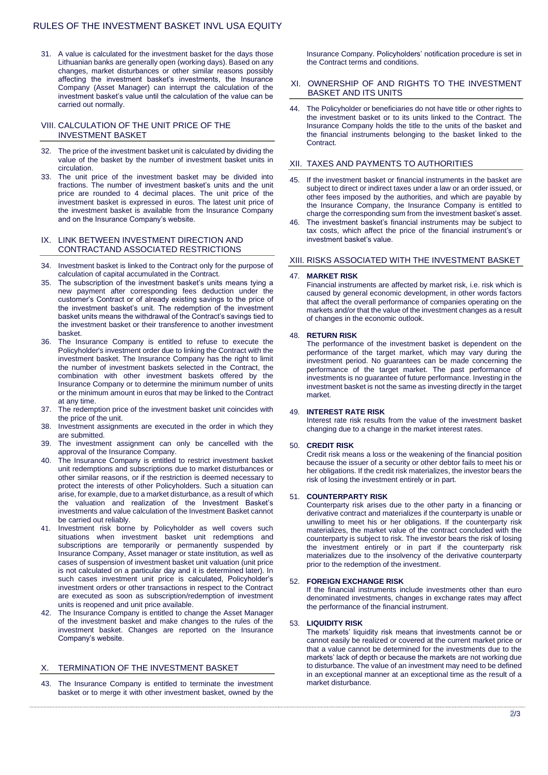31. A value is calculated for the investment basket for the days those Lithuanian banks are generally open (working days). Based on any changes, market disturbances or other similar reasons possibly affecting the investment basket's investments, the Insurance Company (Asset Manager) can interrupt the calculation of the investment basket's value until the calculation of the value can be carried out normally.

## VIII. CALCULATION OF THE UNIT PRICE OF THE INVESTMENT BASKET

- 32. The price of the investment basket unit is calculated by dividing the value of the basket by the number of investment basket units in circulation.
- 33. The unit price of the investment basket may be divided into fractions. The number of investment basket's units and the unit price are rounded to 4 decimal places. The unit price of the investment basket is expressed in euros. The latest unit price of the investment basket is available from the Insurance Company and on the Insurance Company's website.

#### IX. LINK BETWEEN INVESTMENT DIRECTION AND CONTRACTAND ASSOCIATED RESTRICTIONS

- 34. Investment basket is linked to the Contract only for the purpose of calculation of capital accumulated in the Contract.
- 35. The subscription of the investment basket's units means tying a new payment after corresponding fees deduction under the customer's Contract or of already existing savings to the price of the investment basket's unit. The redemption of the investment basket units means the withdrawal of the Contract's savings tied to the investment basket or their transference to another investment basket.
- 36. The Insurance Company is entitled to refuse to execute the Policyholder's investment order due to linking the Contract with the investment basket. The Insurance Company has the right to limit the number of investment baskets selected in the Contract, the combination with other investment baskets offered by the Insurance Company or to determine the minimum number of units or the minimum amount in euros that may be linked to the Contract at any time.
- 37. The redemption price of the investment basket unit coincides with the price of the unit.
- 38. Investment assignments are executed in the order in which they are submitted.
- 39. The investment assignment can only be cancelled with the approval of the Insurance Company.
- 40. The Insurance Company is entitled to restrict investment basket unit redemptions and subscriptions due to market disturbances or other similar reasons, or if the restriction is deemed necessary to protect the interests of other Policyholders. Such a situation can arise, for example, due to a market disturbance, as a result of which the valuation and realization of the Investment Basket's investments and value calculation of the Investment Basket cannot be carried out reliably.
- 41. Investment risk borne by Policyholder as well covers such situations when investment basket unit redemptions and subscriptions are temporarily or permanently suspended by Insurance Company, Asset manager or state institution, as well as cases of suspension of investment basket unit valuation (unit price is not calculated on a particular day and it is determined later). In such cases investment unit price is calculated, Policyholder's investment orders or other transactions in respect to the Contract are executed as soon as subscription/redemption of investment units is reopened and unit price available.
- 42. The Insurance Company is entitled to change the Asset Manager of the investment basket and make changes to the rules of the investment basket. Changes are reported on the Insurance Company's website.

# X. TERMINATION OF THE INVESTMENT BASKET

43. The Insurance Company is entitled to terminate the investment basket or to merge it with other investment basket, owned by the

Insurance Company. Policyholders' notification procedure is set in the Contract terms and conditions.

## XI. OWNERSHIP OF AND RIGHTS TO THE INVESTMENT BASKET AND ITS UNITS

44. The Policyholder or beneficiaries do not have title or other rights to the investment basket or to its units linked to the Contract. The Insurance Company holds the title to the units of the basket and the financial instruments belonging to the basket linked to the **Contract.** 

## XII. TAXES AND PAYMENTS TO AUTHORITIES

- 45. If the investment basket or financial instruments in the basket are subject to direct or indirect taxes under a law or an order issued, or other fees imposed by the authorities, and which are payable by the Insurance Company, the Insurance Company is entitled to charge the corresponding sum from the investment basket's asset.
- The investment basket's financial instruments may be subject to tax costs, which affect the price of the financial instrument's or investment basket's value.

#### XIII. RISKS ASSOCIATED WITH THE INVESTMENT BASKET

#### 47. **MARKET RISK**

Financial instruments are affected by market risk, i.e. risk which is caused by general economic development, in other words factors that affect the overall performance of companies operating on the markets and/or that the value of the investment changes as a result of changes in the economic outlook.

#### 48. **RETURN RISK**

The performance of the investment basket is dependent on the performance of the target market, which may vary during the investment period. No guarantees can be made concerning the performance of the target market. The past performance of investments is no guarantee of future performance. Investing in the investment basket is not the same as investing directly in the target market.

# 49. **INTEREST RATE RISK**

Interest rate risk results from the value of the investment basket changing due to a change in the market interest rates.

#### 50. **CREDIT RISK**

Credit risk means a loss or the weakening of the financial position because the issuer of a security or other debtor fails to meet his or her obligations. If the credit risk materializes, the investor bears the risk of losing the investment entirely or in part.

#### 51. **COUNTERPARTY RISK**

Counterparty risk arises due to the other party in a financing or derivative contract and materializes if the counterparty is unable or unwilling to meet his or her obligations. If the counterparty risk materializes, the market value of the contract concluded with the counterparty is subject to risk. The investor bears the risk of losing the investment entirely or in part if the counterparty risk materializes due to the insolvency of the derivative counterparty prior to the redemption of the investment.

## 52. **FOREIGN EXCHANGE RISK**

If the financial instruments include investments other than euro denominated investments, changes in exchange rates may affect the performance of the financial instrument.

#### 53. **LIQUIDITY RISK**

The markets' liquidity risk means that investments cannot be or cannot easily be realized or covered at the current market price or that a value cannot be determined for the investments due to the markets' lack of depth or because the markets are not working due to disturbance. The value of an investment may need to be defined in an exceptional manner at an exceptional time as the result of a market disturbance.